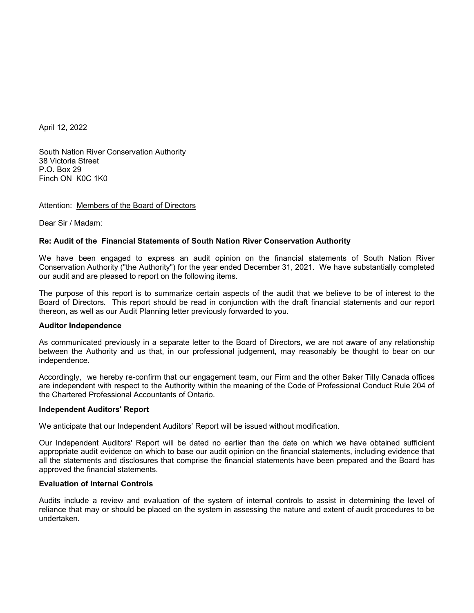April 12, 2022

South Nation River Conservation Authority 38 Victoria Street P.O. Box 29 Finch ON K0C 1K0

## Attention: Members of the Board of Directors

Dear Sir / Madam:

# **Re: Audit of the Financial Statements of South Nation River Conservation Authority**

We have been engaged to express an audit opinion on the financial statements of South Nation River Conservation Authority ("the Authority") for the year ended December 31, 2021. We have substantially completed our audit and are pleased to report on the following items.

The purpose of this report is to summarize certain aspects of the audit that we believe to be of interest to the Board of Directors. This report should be read in conjunction with the draft financial statements and our report thereon, as well as our Audit Planning letter previously forwarded to you.

## **Auditor Independence**

As communicated previously in a separate letter to the Board of Directors, we are not aware of any relationship between the Authority and us that, in our professional judgement, may reasonably be thought to bear on our independence.

Accordingly, we hereby re-confirm that our engagement team, our Firm and the other Baker Tilly Canada offices are independent with respect to the Authority within the meaning of the Code of Professional Conduct Rule 204 of the Chartered Professional Accountants of Ontario.

## **Independent Auditors' Report**

We anticipate that our Independent Auditors' Report will be issued without modification.

Our Independent Auditors' Report will be dated no earlier than the date on which we have obtained sufficient appropriate audit evidence on which to base our audit opinion on the financial statements, including evidence that all the statements and disclosures that comprise the financial statements have been prepared and the Board has approved the financial statements.

# **Evaluation of Internal Controls**

Audits include a review and evaluation of the system of internal controls to assist in determining the level of reliance that may or should be placed on the system in assessing the nature and extent of audit procedures to be undertaken.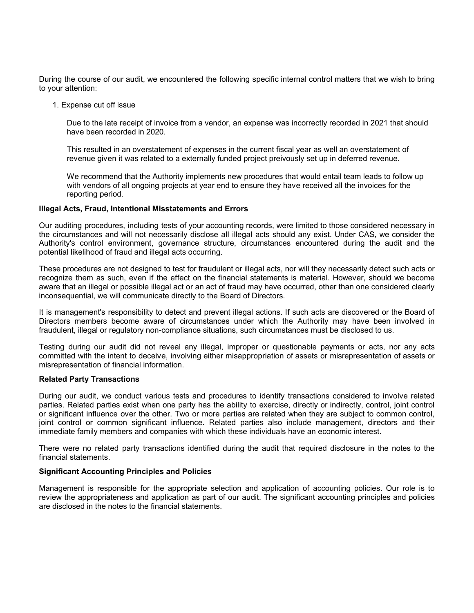During the course of our audit, we encountered the following specific internal control matters that we wish to bring to your attention:

1. Expense cut off issue

Due to the late receipt of invoice from a vendor, an expense was incorrectly recorded in 2021 that should have been recorded in 2020.

This resulted in an overstatement of expenses in the current fiscal year as well an overstatement of revenue given it was related to a externally funded project preivously set up in deferred revenue.

We recommend that the Authority implements new procedures that would entail team leads to follow up with vendors of all ongoing projects at year end to ensure they have received all the invoices for the reporting period.

# **Illegal Acts, Fraud, Intentional Misstatements and Errors**

Our auditing procedures, including tests of your accounting records, were limited to those considered necessary in the circumstances and will not necessarily disclose all illegal acts should any exist. Under CAS, we consider the Authority's control environment, governance structure, circumstances encountered during the audit and the potential likelihood of fraud and illegal acts occurring.

These procedures are not designed to test for fraudulent or illegal acts, nor will they necessarily detect such acts or recognize them as such, even if the effect on the financial statements is material. However, should we become aware that an illegal or possible illegal act or an act of fraud may have occurred, other than one considered clearly inconsequential, we will communicate directly to the Board of Directors.

It is management's responsibility to detect and prevent illegal actions. If such acts are discovered or the Board of Directors members become aware of circumstances under which the Authority may have been involved in fraudulent, illegal or regulatory non-compliance situations, such circumstances must be disclosed to us.

Testing during our audit did not reveal any illegal, improper or questionable payments or acts, nor any acts committed with the intent to deceive, involving either misappropriation of assets or misrepresentation of assets or misrepresentation of financial information.

# **Related Party Transactions**

During our audit, we conduct various tests and procedures to identify transactions considered to involve related parties. Related parties exist when one party has the ability to exercise, directly or indirectly, control, joint control or significant influence over the other. Two or more parties are related when they are subject to common control, joint control or common significant influence. Related parties also include management, directors and their immediate family members and companies with which these individuals have an economic interest.

There were no related party transactions identified during the audit that required disclosure in the notes to the financial statements.

# **Significant Accounting Principles and Policies**

Management is responsible for the appropriate selection and application of accounting policies. Our role is to review the appropriateness and application as part of our audit. The significant accounting principles and policies are disclosed in the notes to the financial statements.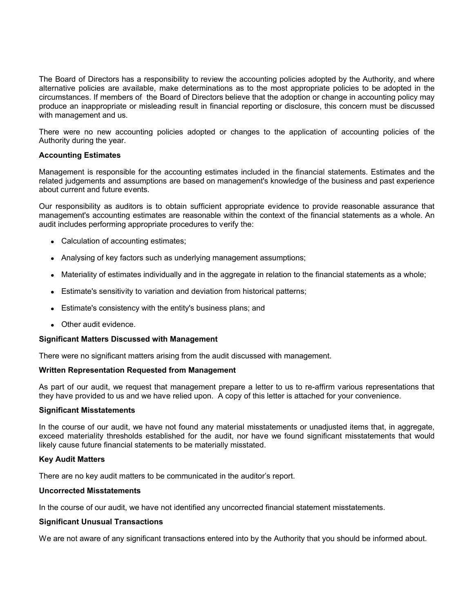The Board of Directors has a responsibility to review the accounting policies adopted by the Authority, and where alternative policies are available, make determinations as to the most appropriate policies to be adopted in the circumstances. If members of the Board of Directors believe that the adoption or change in accounting policy may produce an inappropriate or misleading result in financial reporting or disclosure, this concern must be discussed with management and us.

There were no new accounting policies adopted or changes to the application of accounting policies of the Authority during the year.

# **Accounting Estimates**

Management is responsible for the accounting estimates included in the financial statements. Estimates and the related judgements and assumptions are based on management's knowledge of the business and past experience about current and future events.

Our responsibility as auditors is to obtain sufficient appropriate evidence to provide reasonable assurance that management's accounting estimates are reasonable within the context of the financial statements as a whole. An audit includes performing appropriate procedures to verify the:

- Calculation of accounting estimates;
- Analysing of key factors such as underlying management assumptions;
- Materiality of estimates individually and in the aggregate in relation to the financial statements as a whole;
- Estimate's sensitivity to variation and deviation from historical patterns;
- Estimate's consistency with the entity's business plans; and
- Other audit evidence.

#### **Significant Matters Discussed with Management**

There were no significant matters arising from the audit discussed with management.

#### **Written Representation Requested from Management**

As part of our audit, we request that management prepare a letter to us to re-affirm various representations that they have provided to us and we have relied upon. A copy of this letter is attached for your convenience.

#### **Significant Misstatements**

In the course of our audit, we have not found any material misstatements or unadjusted items that, in aggregate, exceed materiality thresholds established for the audit, nor have we found significant misstatements that would likely cause future financial statements to be materially misstated.

## **Key Audit Matters**

There are no key audit matters to be communicated in the auditor's report.

#### **Uncorrected Misstatements**

In the course of our audit, we have not identified any uncorrected financial statement misstatements.

## **Significant Unusual Transactions**

We are not aware of any significant transactions entered into by the Authority that you should be informed about.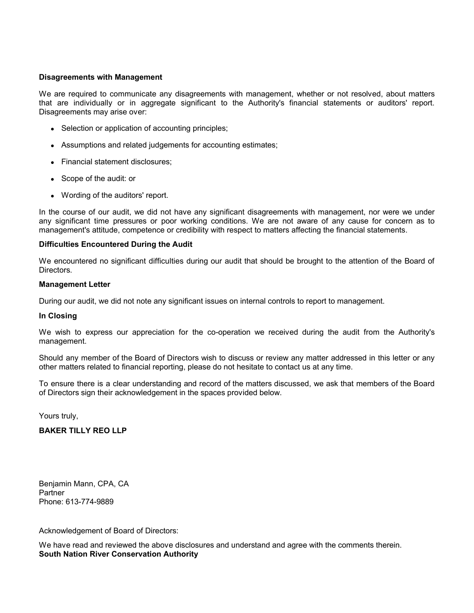# **Disagreements with Management**

We are required to communicate any disagreements with management, whether or not resolved, about matters that are individually or in aggregate significant to the Authority's financial statements or auditors' report. Disagreements may arise over:

- Selection or application of accounting principles;
- Assumptions and related judgements for accounting estimates;
- Financial statement disclosures;
- Scope of the audit: or
- Wording of the auditors' report.

In the course of our audit, we did not have any significant disagreements with management, nor were we under any significant time pressures or poor working conditions. We are not aware of any cause for concern as to management's attitude, competence or credibility with respect to matters affecting the financial statements.

## **Difficulties Encountered During the Audit**

We encountered no significant difficulties during our audit that should be brought to the attention of the Board of Directors.

#### **Management Letter**

During our audit, we did not note any significant issues on internal controls to report to management.

## **In Closing**

We wish to express our appreciation for the co-operation we received during the audit from the Authority's management.

Should any member of the Board of Directors wish to discuss or review any matter addressed in this letter or any other matters related to financial reporting, please do not hesitate to contact us at any time.

To ensure there is a clear understanding and record of the matters discussed, we ask that members of the Board of Directors sign their acknowledgement in the spaces provided below.

Yours truly,

# **BAKER TILLY REO LLP**

Benjamin Mann, CPA, CA Partner Phone: 613-774-9889

Acknowledgement of Board of Directors:

We have read and reviewed the above disclosures and understand and agree with the comments therein. **South Nation River Conservation Authority**